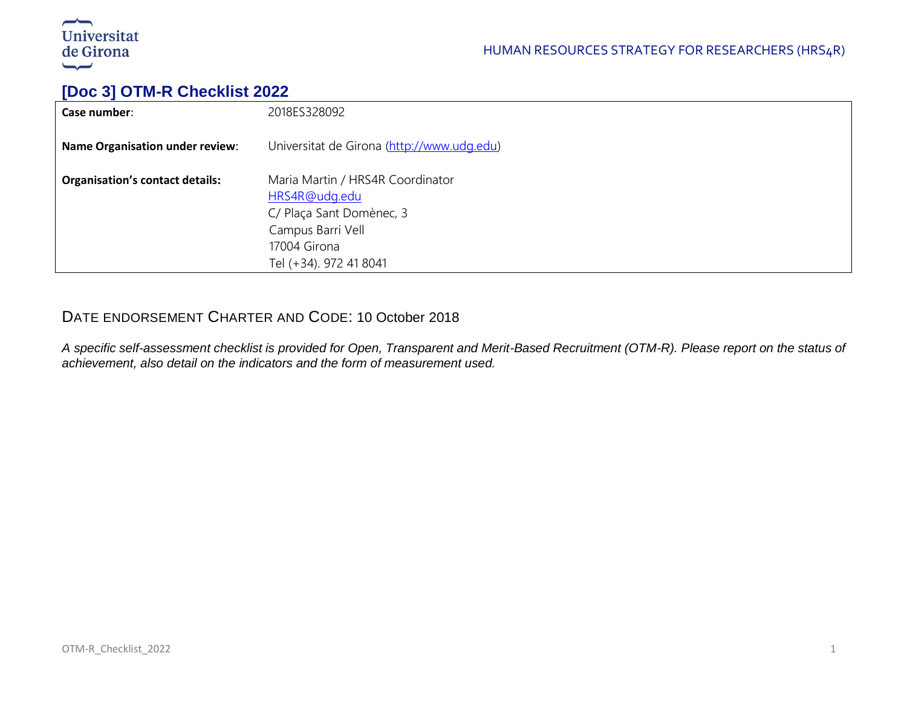

# **[Doc 3] OTM-R Checklist 2022**

| Case number:                           | 2018ES328092                                                                                                                                 |
|----------------------------------------|----------------------------------------------------------------------------------------------------------------------------------------------|
| <b>Name Organisation under review:</b> | Universitat de Girona (http://www.udg.edu)                                                                                                   |
| <b>Organisation's contact details:</b> | Maria Martin / HRS4R Coordinator<br>HRS4R@udg.edu<br>C/ Plaça Sant Domènec, 3<br>Campus Barri Vell<br>17004 Girona<br>Tel (+34). 972 41 8041 |

## DATE ENDORSEMENT CHARTER AND CODE: 10 October 2018

*A specific self-assessment checklist is provided for Open, Transparent and Merit-Based Recruitment (OTM-R). Please report on the status of achievement, also detail on the indicators and the form of measurement used.*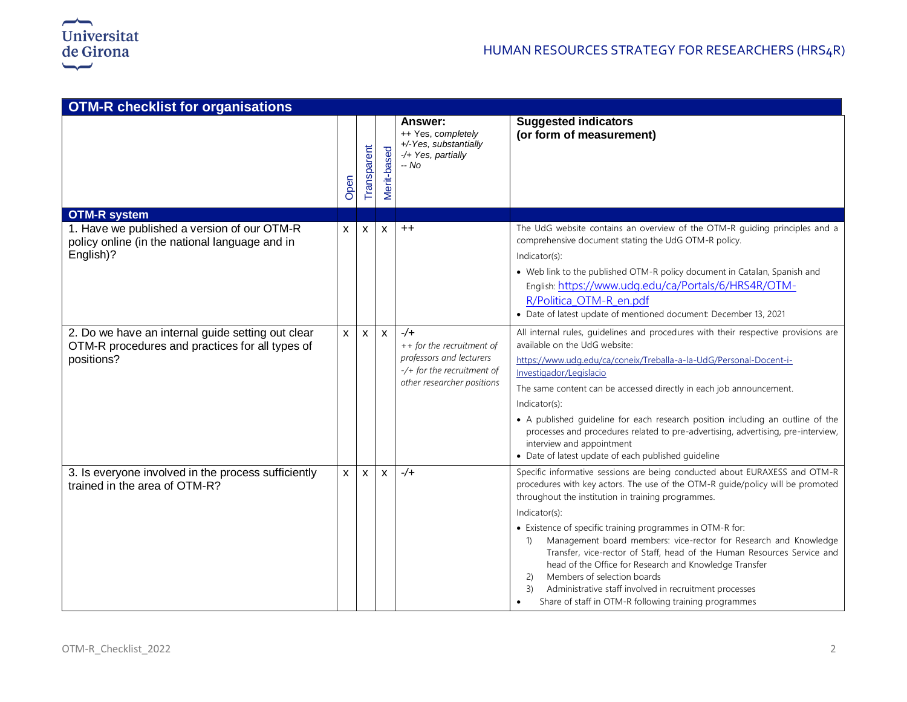

| <b>OTM-R checklist for organisations</b>                                                                           |              |                    |                           |                                                                                                                                  |                                                                                                                                                                                                                                                                                                                                                                                                                                                                                                                                                                                                                                                                                                                            |  |  |
|--------------------------------------------------------------------------------------------------------------------|--------------|--------------------|---------------------------|----------------------------------------------------------------------------------------------------------------------------------|----------------------------------------------------------------------------------------------------------------------------------------------------------------------------------------------------------------------------------------------------------------------------------------------------------------------------------------------------------------------------------------------------------------------------------------------------------------------------------------------------------------------------------------------------------------------------------------------------------------------------------------------------------------------------------------------------------------------------|--|--|
|                                                                                                                    | Open         | <b>Fransparent</b> | Merit-based               | Answer:<br>++ Yes, completely<br>+/-Yes, substantially<br>-/+ Yes, partially<br>$-NO$                                            | <b>Suggested indicators</b><br>(or form of measurement)                                                                                                                                                                                                                                                                                                                                                                                                                                                                                                                                                                                                                                                                    |  |  |
| <b>OTM-R system</b>                                                                                                |              |                    |                           |                                                                                                                                  |                                                                                                                                                                                                                                                                                                                                                                                                                                                                                                                                                                                                                                                                                                                            |  |  |
| 1. Have we published a version of our OTM-R<br>policy online (in the national language and in<br>English)?         | X            | $\mathsf{x}$       | $\boldsymbol{\mathsf{x}}$ | $++$                                                                                                                             | The UdG website contains an overview of the OTM-R guiding principles and a<br>comprehensive document stating the UdG OTM-R policy.<br>Indicator(s):<br>• Web link to the published OTM-R policy document in Catalan, Spanish and<br>English: https://www.udg.edu/ca/Portals/6/HRS4R/OTM-<br>R/Politica OTM-R en.pdf<br>• Date of latest update of mentioned document: December 13, 2021                                                                                                                                                                                                                                                                                                                                    |  |  |
| 2. Do we have an internal guide setting out clear<br>OTM-R procedures and practices for all types of<br>positions? | $\mathsf{x}$ | $\mathsf{x}$       | $\mathsf{x}$              | $-\sqrt{+}$<br>++ for the recruitment of<br>professors and lecturers<br>-/+ for the recruitment of<br>other researcher positions | All internal rules, guidelines and procedures with their respective provisions are<br>available on the UdG website:<br>https://www.udg.edu/ca/coneix/Treballa-a-la-UdG/Personal-Docent-i-<br>Investigador/Legislacio<br>The same content can be accessed directly in each job announcement.<br>Indicator(s):<br>• A published guideline for each research position including an outline of the<br>processes and procedures related to pre-advertising, advertising, pre-interview,<br>interview and appointment<br>• Date of latest update of each published guideline                                                                                                                                                     |  |  |
| 3. Is everyone involved in the process sufficiently<br>trained in the area of OTM-R?                               | $\mathsf{x}$ | $\mathsf{x}$       | $\mathsf{x}$              | $-/-$                                                                                                                            | Specific informative sessions are being conducted about EURAXESS and OTM-R<br>procedures with key actors. The use of the OTM-R guide/policy will be promoted<br>throughout the institution in training programmes.<br>Indicator(s):<br>• Existence of specific training programmes in OTM-R for:<br>Management board members: vice-rector for Research and Knowledge<br>$\left( \begin{matrix} 1 \end{matrix} \right)$<br>Transfer, vice-rector of Staff, head of the Human Resources Service and<br>head of the Office for Research and Knowledge Transfer<br>Members of selection boards<br>(2)<br>Administrative staff involved in recruitment processes<br>3)<br>Share of staff in OTM-R following training programmes |  |  |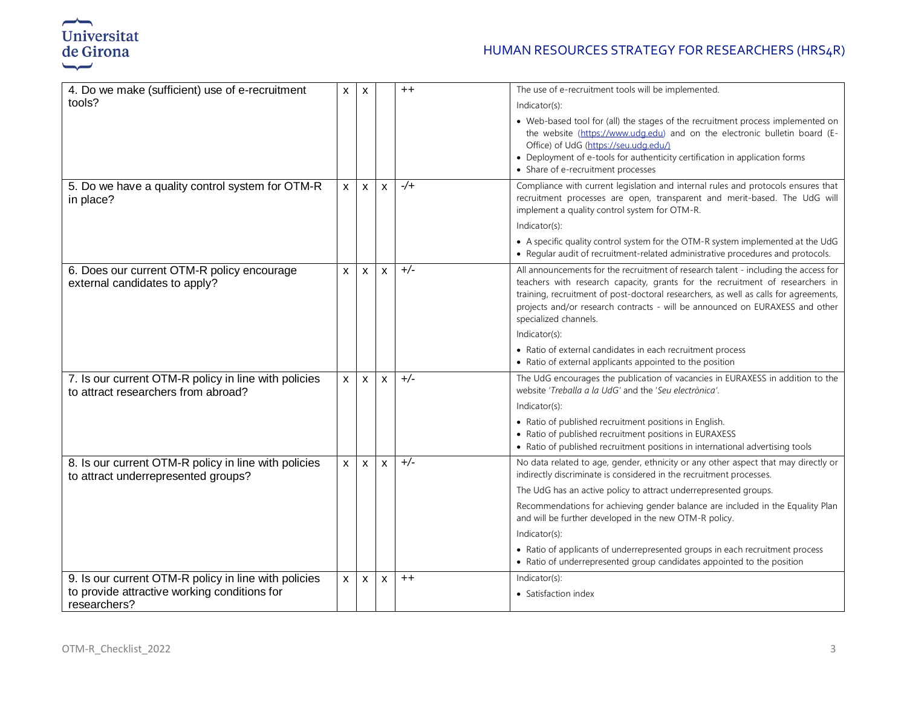

| 4. Do we make (sufficient) use of e-recruitment                                             | X            | $\mathsf{x}$       |                           | $++$        | The use of e-recruitment tools will be implemented.                                                                                                                                                                                                                                                                                                                   |
|---------------------------------------------------------------------------------------------|--------------|--------------------|---------------------------|-------------|-----------------------------------------------------------------------------------------------------------------------------------------------------------------------------------------------------------------------------------------------------------------------------------------------------------------------------------------------------------------------|
| tools?                                                                                      |              |                    |                           |             | Indicator(s):                                                                                                                                                                                                                                                                                                                                                         |
|                                                                                             |              |                    |                           |             | • Web-based tool for (all) the stages of the recruitment process implemented on<br>the website (https://www.udg.edu) and on the electronic bulletin board (E-<br>Office) of UdG (https://seu.udg.edu/)<br>• Deployment of e-tools for authenticity certification in application forms<br>• Share of e-recruitment processes                                           |
| 5. Do we have a quality control system for OTM-R<br>in place?                               | $\mathsf{x}$ | $\mathsf{x}$       | $\mathsf{x}$              | $-\sqrt{+}$ | Compliance with current legislation and internal rules and protocols ensures that<br>recruitment processes are open, transparent and merit-based. The UdG will<br>implement a quality control system for OTM-R.                                                                                                                                                       |
|                                                                                             |              |                    |                           |             | Indicator(s):                                                                                                                                                                                                                                                                                                                                                         |
|                                                                                             |              |                    |                           |             | • A specific quality control system for the OTM-R system implemented at the UdG<br>• Regular audit of recruitment-related administrative procedures and protocols.                                                                                                                                                                                                    |
| 6. Does our current OTM-R policy encourage<br>external candidates to apply?                 | $\mathsf{x}$ | $\mathsf{x}$       | $\mathbf{x}$              | $+/-$       | All announcements for the recruitment of research talent - including the access for<br>teachers with research capacity, grants for the recruitment of researchers in<br>training, recruitment of post-doctoral researchers, as well as calls for agreements,<br>projects and/or research contracts - will be announced on EURAXESS and other<br>specialized channels. |
|                                                                                             |              |                    |                           |             | Indicator(s):                                                                                                                                                                                                                                                                                                                                                         |
|                                                                                             |              |                    |                           |             | • Ratio of external candidates in each recruitment process<br>• Ratio of external applicants appointed to the position                                                                                                                                                                                                                                                |
| 7. Is our current OTM-R policy in line with policies<br>to attract researchers from abroad? | X            | $\pmb{\mathsf{X}}$ | $\boldsymbol{\mathsf{x}}$ | $+/-$       | The UdG encourages the publication of vacancies in EURAXESS in addition to the<br>website 'Treballa a la UdG' and the 'Seu electrònica'.                                                                                                                                                                                                                              |
|                                                                                             |              |                    |                           |             | Indicator(s):                                                                                                                                                                                                                                                                                                                                                         |
|                                                                                             |              |                    |                           |             | • Ratio of published recruitment positions in English.<br>• Ratio of published recruitment positions in EURAXESS<br>• Ratio of published recruitment positions in international advertising tools                                                                                                                                                                     |
| 8. Is our current OTM-R policy in line with policies<br>to attract underrepresented groups? | $\mathsf{x}$ | $\mathsf{x}$       | X                         | $+/-$       | No data related to age, gender, ethnicity or any other aspect that may directly or<br>indirectly discriminate is considered in the recruitment processes.                                                                                                                                                                                                             |
|                                                                                             |              |                    |                           |             | The UdG has an active policy to attract underrepresented groups.                                                                                                                                                                                                                                                                                                      |
|                                                                                             |              |                    |                           |             | Recommendations for achieving gender balance are included in the Equality Plan<br>and will be further developed in the new OTM-R policy.                                                                                                                                                                                                                              |
|                                                                                             |              |                    |                           |             | Indicator(s):                                                                                                                                                                                                                                                                                                                                                         |
|                                                                                             |              |                    |                           |             | • Ratio of applicants of underrepresented groups in each recruitment process<br>• Ratio of underrepresented group candidates appointed to the position                                                                                                                                                                                                                |
| 9. Is our current OTM-R policy in line with policies                                        | $\mathsf{X}$ | $\pmb{\mathsf{X}}$ | $\pmb{\mathsf{X}}$        | $++$        | Indicator(s):                                                                                                                                                                                                                                                                                                                                                         |
| to provide attractive working conditions for<br>researchers?                                |              |                    |                           |             | • Satisfaction index                                                                                                                                                                                                                                                                                                                                                  |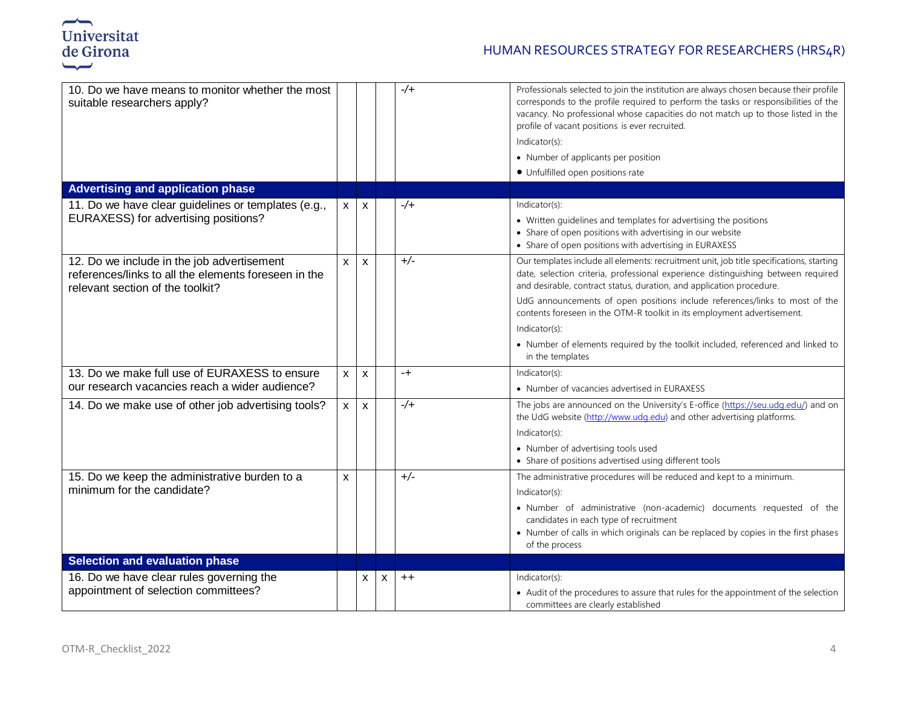

### HUMAN RESOURCES STRATEGY FOR RESEARCHERS (HRS4R)

| 10. Do we have means to monitor whether the most<br>suitable researchers apply?                                                        |                |              |   | $-/-$       | Professionals selected to join the institution are always chosen because their profile<br>corresponds to the profile required to perform the tasks or responsibilities of the<br>vacancy. No professional whose capacities do not match up to those listed in the<br>profile of vacant positions is ever recruited.<br>Indicator(s):<br>• Number of applicants per position<br>• Unfulfilled open positions rate                                                                                                                        |
|----------------------------------------------------------------------------------------------------------------------------------------|----------------|--------------|---|-------------|-----------------------------------------------------------------------------------------------------------------------------------------------------------------------------------------------------------------------------------------------------------------------------------------------------------------------------------------------------------------------------------------------------------------------------------------------------------------------------------------------------------------------------------------|
| <b>Advertising and application phase</b>                                                                                               |                |              |   |             |                                                                                                                                                                                                                                                                                                                                                                                                                                                                                                                                         |
| 11. Do we have clear guidelines or templates (e.g.,<br>EURAXESS) for advertising positions?                                            | $\mathsf{x}$   | X            |   | $-\sqrt{+}$ | Indicator(s):<br>• Written quidelines and templates for advertising the positions<br>• Share of open positions with advertising in our website<br>• Share of open positions with advertising in EURAXESS                                                                                                                                                                                                                                                                                                                                |
| 12. Do we include in the job advertisement<br>references/links to all the elements foreseen in the<br>relevant section of the toolkit? | $\mathsf{x}$   | $\mathsf{x}$ |   | $+/-$       | Our templates include all elements: recruitment unit, job title specifications, starting<br>date, selection criteria, professional experience distinguishing between required<br>and desirable, contract status, duration, and application procedure.<br>UdG announcements of open positions include references/links to most of the<br>contents foreseen in the OTM-R toolkit in its employment advertisement.<br>Indicator(s):<br>• Number of elements required by the toolkit included, referenced and linked to<br>in the templates |
| 13. Do we make full use of EURAXESS to ensure<br>our research vacancies reach a wider audience?                                        | $\mathsf{x}$   | X            |   | $-+$        | Indicator(s):<br>• Number of vacancies advertised in EURAXESS                                                                                                                                                                                                                                                                                                                                                                                                                                                                           |
| 14. Do we make use of other job advertising tools?                                                                                     | $\mathsf{x}$   | X            |   | $-\sqrt{+}$ | The jobs are announced on the University's E-office (https://seu.udq.edu/) and on<br>the UdG website (http://www.udg.edu) and other advertising platforms.<br>Indicator(s):<br>• Number of advertising tools used<br>• Share of positions advertised using different tools                                                                                                                                                                                                                                                              |
| 15. Do we keep the administrative burden to a<br>minimum for the candidate?                                                            | $\pmb{\times}$ |              |   | $+/-$       | The administrative procedures will be reduced and kept to a minimum.<br>Indicator(s):<br>· Number of administrative (non-academic) documents requested of the<br>candidates in each type of recruitment<br>• Number of calls in which originals can be replaced by copies in the first phases<br>of the process                                                                                                                                                                                                                         |
| <b>Selection and evaluation phase</b>                                                                                                  |                |              |   |             |                                                                                                                                                                                                                                                                                                                                                                                                                                                                                                                                         |
| 16. Do we have clear rules governing the<br>appointment of selection committees?                                                       |                | X            | X | $++$        | Indicator(s):<br>• Audit of the procedures to assure that rules for the appointment of the selection<br>committees are clearly established                                                                                                                                                                                                                                                                                                                                                                                              |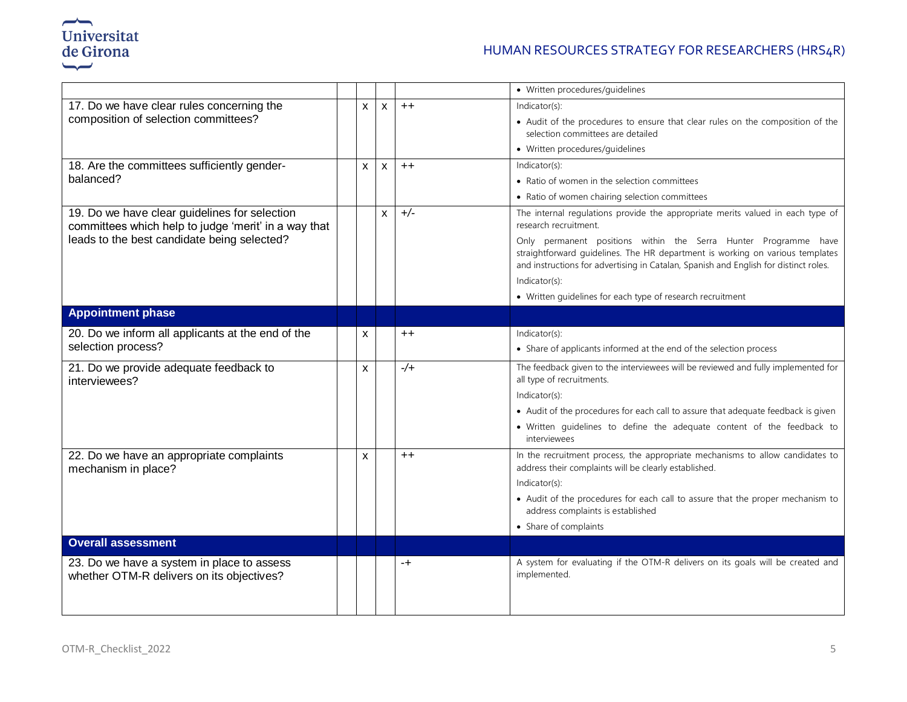

### HUMAN RESOURCES STRATEGY FOR RESEARCHERS (HRS4R)

|                                                                                                       |              |              |             | • Written procedures/guidelines                                                                                                                                                                                                          |
|-------------------------------------------------------------------------------------------------------|--------------|--------------|-------------|------------------------------------------------------------------------------------------------------------------------------------------------------------------------------------------------------------------------------------------|
| 17. Do we have clear rules concerning the                                                             | $\mathsf{x}$ | $\mathsf{x}$ | $++$        | Indicator(s):                                                                                                                                                                                                                            |
| composition of selection committees?                                                                  |              |              |             | • Audit of the procedures to ensure that clear rules on the composition of the<br>selection committees are detailed                                                                                                                      |
|                                                                                                       |              |              |             | • Written procedures/guidelines                                                                                                                                                                                                          |
| 18. Are the committees sufficiently gender-                                                           | X            | $\mathsf{x}$ | $++$        | Indicator(s):                                                                                                                                                                                                                            |
| balanced?                                                                                             |              |              |             | • Ratio of women in the selection committees                                                                                                                                                                                             |
|                                                                                                       |              |              |             | • Ratio of women chairing selection committees                                                                                                                                                                                           |
| 19. Do we have clear guidelines for selection<br>committees which help to judge 'merit' in a way that |              | X            | $+/-$       | The internal regulations provide the appropriate merits valued in each type of<br>research recruitment.                                                                                                                                  |
| leads to the best candidate being selected?                                                           |              |              |             | Only permanent positions within the Serra Hunter Programme have<br>straightforward guidelines. The HR department is working on various templates<br>and instructions for advertising in Catalan, Spanish and English for distinct roles. |
|                                                                                                       |              |              |             | Indicator(s):                                                                                                                                                                                                                            |
|                                                                                                       |              |              |             | • Written guidelines for each type of research recruitment                                                                                                                                                                               |
| <b>Appointment phase</b>                                                                              |              |              |             |                                                                                                                                                                                                                                          |
| 20. Do we inform all applicants at the end of the                                                     | X            |              | $++$        | Indicator(s):                                                                                                                                                                                                                            |
| selection process?                                                                                    |              |              |             | • Share of applicants informed at the end of the selection process                                                                                                                                                                       |
| 21. Do we provide adequate feedback to<br>interviewees?                                               | X            |              | $-\sqrt{+}$ | The feedback given to the interviewees will be reviewed and fully implemented for<br>all type of recruitments.                                                                                                                           |
|                                                                                                       |              |              |             | Indicator(s):                                                                                                                                                                                                                            |
|                                                                                                       |              |              |             | • Audit of the procedures for each call to assure that adequate feedback is given                                                                                                                                                        |
|                                                                                                       |              |              |             | · Written guidelines to define the adequate content of the feedback to<br>interviewees                                                                                                                                                   |
| 22. Do we have an appropriate complaints<br>mechanism in place?                                       | X            |              | $++$        | In the recruitment process, the appropriate mechanisms to allow candidates to<br>address their complaints will be clearly established.                                                                                                   |
|                                                                                                       |              |              |             | Indicator(s):                                                                                                                                                                                                                            |
|                                                                                                       |              |              |             | • Audit of the procedures for each call to assure that the proper mechanism to<br>address complaints is established                                                                                                                      |
|                                                                                                       |              |              |             | • Share of complaints                                                                                                                                                                                                                    |
| <b>Overall assessment</b>                                                                             |              |              |             |                                                                                                                                                                                                                                          |
| 23. Do we have a system in place to assess<br>whether OTM-R delivers on its objectives?               |              |              | $-+$        | A system for evaluating if the OTM-R delivers on its goals will be created and<br>implemented.                                                                                                                                           |